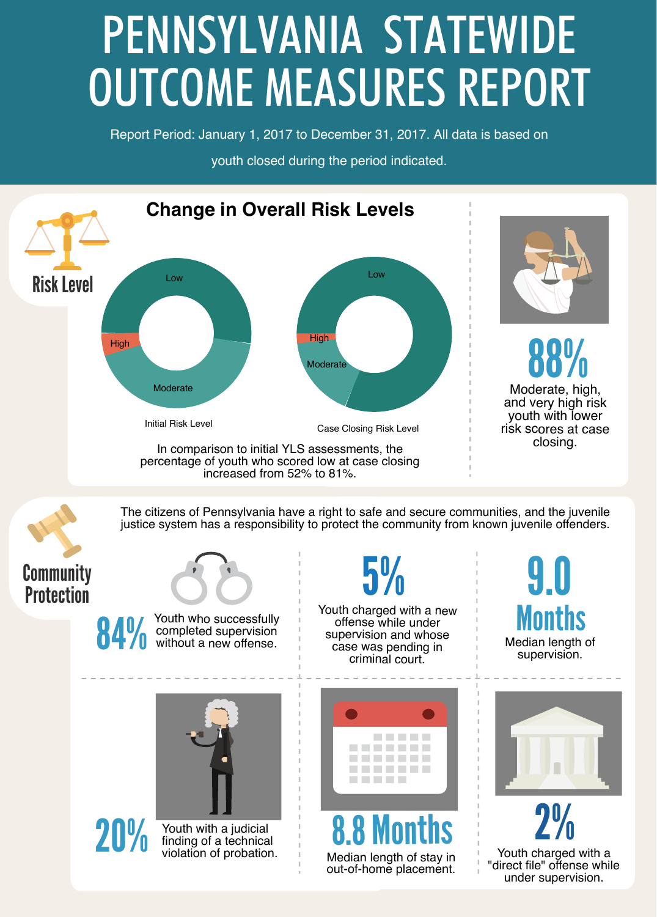## OUTCOME MEASURES REPORT PENNSYLVANIA STATEWIDE

Report Period: January 1, 2017 to December 31, 2017. All data is based on

youth closed during the period indicated.



Median length of stay in out-of-home placement.

"direct file" offense while under supervision.